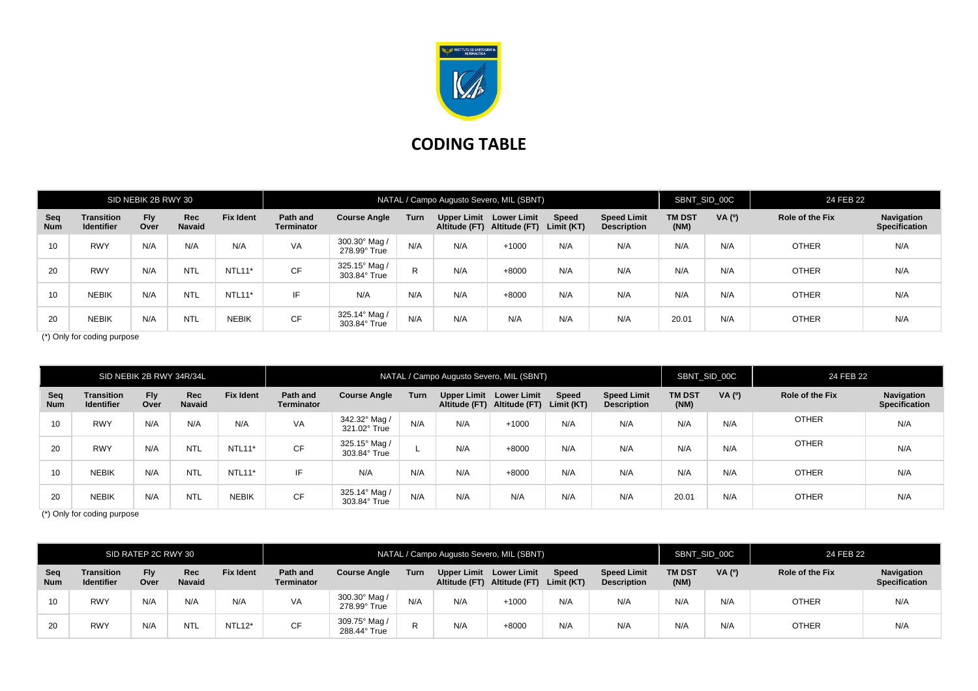

## **CODING TABLE**

| SID NEBIK 2B RWY 30 |                                        |                    |               |                  |                               |                               |      |     | NATAL / Campo Augusto Severo, MIL (SBNT)                          |              |                                          | SBNT SID 00C          |       | 24 FEB 22       |                                    |
|---------------------|----------------------------------------|--------------------|---------------|------------------|-------------------------------|-------------------------------|------|-----|-------------------------------------------------------------------|--------------|------------------------------------------|-----------------------|-------|-----------------|------------------------------------|
| Seq<br><b>Num</b>   | <b>Transition</b><br><b>Identifier</b> | <b>Fly</b><br>Over | Rec<br>Navaid | <b>Fix Ident</b> | Path and<br><b>Terminator</b> | <b>Course Angle</b>           | Turn |     | Upper Limit Lower Limit<br>Altitude (FT) Altitude (FT) Limit (KT) | <b>Speed</b> | <b>Speed Limit</b><br><b>Description</b> | <b>TM DST</b><br>(NM) | VA(°) | Role of the Fix | Navigation<br><b>Specification</b> |
| 10                  | <b>RWY</b>                             | N/A                | N/A           | N/A              | VA                            | 300.30° Mag /<br>278.99° True | N/A  | N/A | $+1000$                                                           | N/A          | N/A                                      | N/A                   | N/A   | <b>OTHER</b>    | N/A                                |
| 20                  | <b>RWY</b>                             | N/A                | <b>NTL</b>    | <b>NTL11*</b>    | <b>CF</b>                     | 325.15° Mag /<br>303.84° True | R.   | N/A | $+8000$                                                           | N/A          | N/A                                      | N/A                   | N/A   | <b>OTHER</b>    | N/A                                |
| 10                  | <b>NEBIK</b>                           | N/A                | <b>NTL</b>    | <b>NTL11*</b>    | IF                            | N/A                           | N/A  | N/A | $+8000$                                                           | N/A          | N/A                                      | N/A                   | N/A   | <b>OTHER</b>    | N/A                                |
| 20                  | <b>NEBIK</b>                           | N/A                | <b>NTL</b>    | <b>NEBIK</b>     | <b>CF</b>                     | 325.14° Mag /<br>303.84° True | N/A  | N/A | N/A                                                               | N/A          | N/A                                      | 20.01                 | N/A   | <b>OTHER</b>    | N/A                                |

(\*) Only for coding purpose

| SID NEBIK 2B RWY 34R/34L |                                        |                    |                             |                  |                               |                               |      | NATAL / Campo Augusto Severo, MIL (SBNT) |                                                   |                            |                                          | SBNT SID 00C          |        | 24 FEB 22       |                                    |
|--------------------------|----------------------------------------|--------------------|-----------------------------|------------------|-------------------------------|-------------------------------|------|------------------------------------------|---------------------------------------------------|----------------------------|------------------------------------------|-----------------------|--------|-----------------|------------------------------------|
| Seq<br><b>Num</b>        | <b>Transition</b><br><b>Identifier</b> | <b>Fly</b><br>Over | <b>Rec</b><br><b>Navaid</b> | <b>Fix Ident</b> | Path and<br><b>Terminator</b> | <b>Course Angle</b>           | Turn | <b>Upper Limit</b>                       | <b>Lower Limit</b><br>Altitude (FT) Altitude (FT) | <b>Speed</b><br>Limit (KT) | <b>Speed Limit</b><br><b>Description</b> | <b>TM DST</b><br>(NM) | VA (0) | Role of the Fix | Navigation<br><b>Specification</b> |
| 10                       | <b>RWY</b>                             | N/A                | N/A                         | N/A              | VA                            | 342.32° Mag /<br>321.02° True | N/A  | N/A                                      | $+1000$                                           | N/A                        | N/A                                      | N/A                   | N/A    | <b>OTHER</b>    | N/A                                |
| 20                       | <b>RWY</b>                             | N/A                | <b>NTL</b>                  | NTL11*           | <b>CF</b>                     | 325.15° Mag /<br>303.84° True |      | N/A                                      | +8000                                             | N/A                        | N/A                                      | N/A                   | N/A    | <b>OTHER</b>    | N/A                                |
| 10                       | <b>NEBIK</b>                           | N/A                | <b>NTL</b>                  | NTL11*           | IF.                           | N/A                           | N/A  | N/A                                      | $+8000$                                           | N/A                        | N/A                                      | N/A                   | N/A    | <b>OTHER</b>    | N/A                                |
| 20                       | <b>NEBIK</b>                           | N/A                | <b>NTL</b>                  | <b>NEBIK</b>     | <b>CF</b>                     | 325.14° Mag /<br>303.84° True | N/A  | N/A                                      | N/A                                               | N/A                        | N/A                                      | 20.01                 | N/A    | <b>OTHER</b>    | N/A                                |

(\*) Only for coding purpose

| SID RATEP 2C RWY 30 |                                        |             |                      |                     |                               |                               |      | NATAL / Campo Augusto Severo, MIL (SBNT) | SBNT SID 00C                                      |                     | 24 FEB 22                                |                       |        |                        |                                    |
|---------------------|----------------------------------------|-------------|----------------------|---------------------|-------------------------------|-------------------------------|------|------------------------------------------|---------------------------------------------------|---------------------|------------------------------------------|-----------------------|--------|------------------------|------------------------------------|
| Seq<br><b>Num</b>   | <b>Transition</b><br><b>Identifier</b> | Fly<br>Over | Rec<br><b>Navaid</b> | <b>Fix Ident</b>    | Path and<br><b>Terminator</b> | <b>Course Angle</b>           | Turn | <b>Upper Limit</b>                       | <b>Lower Limit</b><br>Altitude (FT) Altitude (FT) | Speed<br>Limit (KT) | <b>Speed Limit</b><br><b>Description</b> | <b>TM DST</b><br>(MM) | VA (0) | <b>Role of the Fix</b> | Navigation<br><b>Specification</b> |
|                     | <b>RWY</b>                             | N/A         | N/A                  | N/A                 | VA                            | 300.30° Mag<br>278.99° True   | N/A  | N/A                                      | $+1000$                                           | N/A                 | N/A                                      | N/A                   | N/A    | <b>OTHER</b>           | N/A                                |
| 20                  | <b>RWY</b>                             | N/A         | <b>NTL</b>           | NTL <sub>12</sub> * | CF                            | 309.75° Mag /<br>288.44° True | R    | N/A                                      | +8000                                             | N/A                 | N/A                                      | N/A                   | N/A    | OTHER                  | N/A                                |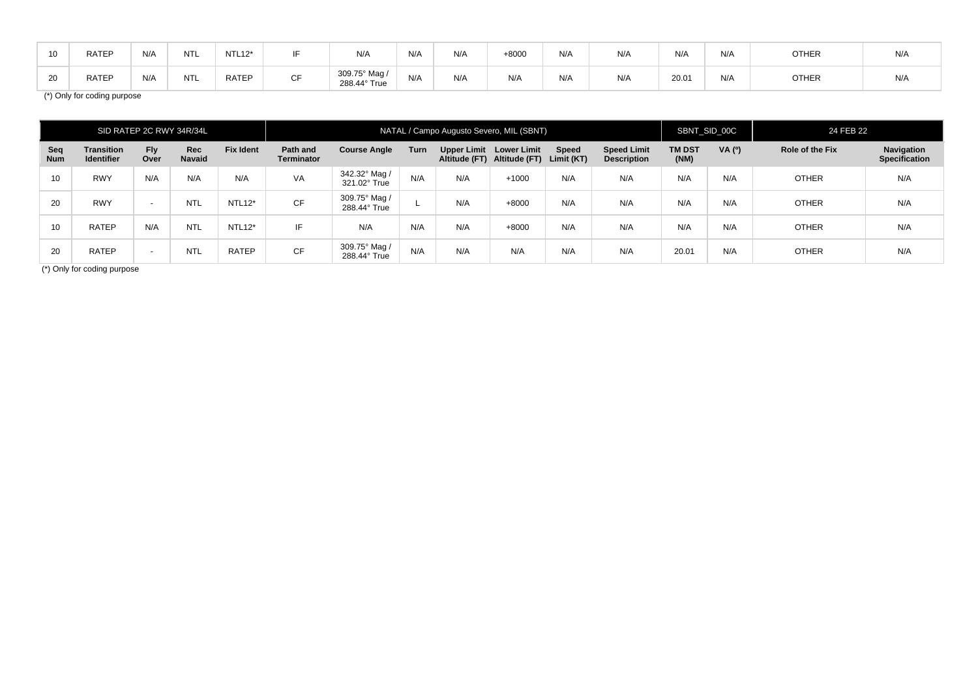| <b>RATEP</b> | N/A | <b>NTL</b> | $NTL12*$     |                 | N/A                         | N/A | N/A | ⊦8000 | N/A | N/A | N/A  | N/A | <b>OTHER</b> | N/A |
|--------------|-----|------------|--------------|-----------------|-----------------------------|-----|-----|-------|-----|-----|------|-----|--------------|-----|
| <b>RATEF</b> | N/A | <b>NTL</b> | <b>RATEP</b> | $\sim$ $-$<br>◡ | 309.75° Mag<br>288.44° True | N/A | N/A | N/A   | N/A | N/A | 20.0 | N/A | <b>OTHER</b> | N/A |

(\*) Only for coding purpose

| SID RATEP 2C RWY 34R/34L |                                        |                    |                      |                  |                               |                               |      |             | NATAL / Campo Augusto Severo, MIL (SBNT)   |                            |                                          | SBNT SID 00C          |        | 24 FEB 22              |                                    |
|--------------------------|----------------------------------------|--------------------|----------------------|------------------|-------------------------------|-------------------------------|------|-------------|--------------------------------------------|----------------------------|------------------------------------------|-----------------------|--------|------------------------|------------------------------------|
| Seq<br><b>Num</b>        | <b>Transition</b><br><b>Identifier</b> | <b>Fly</b><br>Over | <b>Rec</b><br>Navaid | <b>Fix Ident</b> | Path and<br><b>Terminator</b> | <b>Course Angle</b>           | Turn | Upper Limit | Lower Limit<br>Altitude (FT) Altitude (FT) | <b>Speed</b><br>Limit (KT) | <b>Speed Limit</b><br><b>Description</b> | <b>TM DST</b><br>(NM) | VA (0) | <b>Role of the Fix</b> | Navigation<br><b>Specification</b> |
| 10                       | <b>RWY</b>                             | N/A                | N/A                  | N/A              | VA                            | 342.32° Mag /<br>321.02° True | N/A  | N/A         | $+1000$                                    | N/A                        | N/A                                      | N/A                   | N/A    | <b>OTHER</b>           | N/A                                |
| 20                       | <b>RWY</b>                             | $\sim$             | <b>NTL</b>           | NTL12*           | <b>CF</b>                     | 309.75° Mag /<br>288.44° True |      | N/A         | $+8000$                                    | N/A                        | N/A                                      | N/A                   | N/A    | <b>OTHER</b>           | N/A                                |
| 10                       | <b>RATEP</b>                           | N/A                | <b>NTL</b>           | NTL12*           | IF                            | N/A                           | N/A  | N/A         | $+8000$                                    | N/A                        | N/A                                      | N/A                   | N/A    | <b>OTHER</b>           | N/A                                |
| 20                       | <b>RATEP</b>                           | $\sim$             | <b>NTL</b>           | <b>RATEP</b>     | <b>CF</b>                     | 309.75° Mag /<br>288.44° True | N/A  | N/A         | N/A                                        | N/A                        | N/A                                      | 20.01                 | N/A    | <b>OTHER</b>           | N/A                                |

(\*) Only for coding purpose